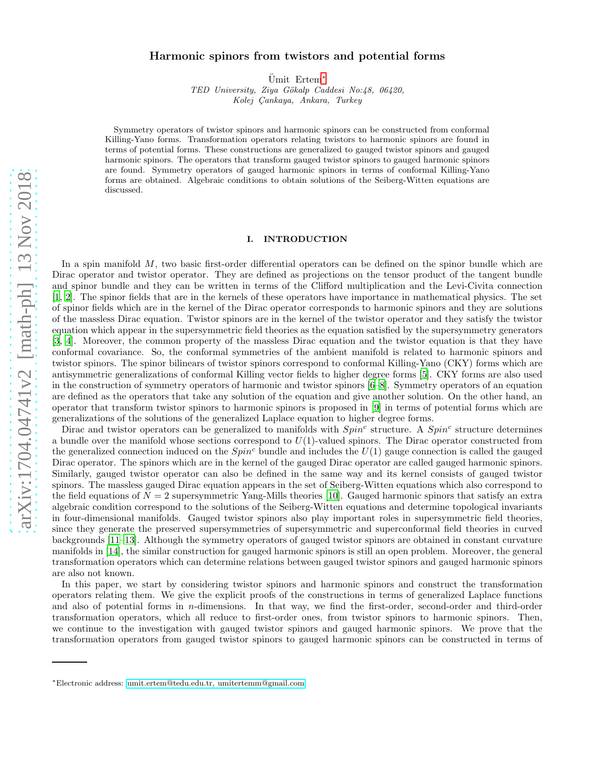# arXiv:1704.04741v2 [math-ph] 13 Nov 2018 [arXiv:1704.04741v2 \[math-ph\] 13 Nov 2018](http://arxiv.org/abs/1704.04741v2)

# Harmonic spinors from twistors and potential forms

 $\text{Umit}$  Ertem<sup>\*</sup>

TED University, Ziya Gökalp Caddesi No:48, 06420, Kolej Çankaya, Ankara, Turkey

Symmetry operators of twistor spinors and harmonic spinors can be constructed from conformal Killing-Yano forms. Transformation operators relating twistors to harmonic spinors are found in terms of potential forms. These constructions are generalized to gauged twistor spinors and gauged harmonic spinors. The operators that transform gauged twistor spinors to gauged harmonic spinors are found. Symmetry operators of gauged harmonic spinors in terms of conformal Killing-Yano forms are obtained. Algebraic conditions to obtain solutions of the Seiberg-Witten equations are discussed.

### I. INTRODUCTION

In a spin manifold M, two basic first-order differential operators can be defined on the spinor bundle which are Dirac operator and twistor operator. They are defined as projections on the tensor product of the tangent bundle and spinor bundle and they can be written in terms of the Clifford multiplication and the Levi-Civita connection [1, 2]. The spinor fields that are in the kernels of these operators have importance in mathematical physics. The set of spinor fields which are in the kernel of the Dirac operator corresponds to harmonic spinors and they are solutions of the massless Dirac equation. Twistor spinors are in the kernel of the twistor operator and they satisfy the twistor equation which appear in the supersymmetric field theories as the equation satisfied by the supersymmetry generators [3, 4]. Moreover, the common property of the massless Dirac equation and the twistor equation is that they have conformal covariance. So, the conformal symmetries of the ambient manifold is related to harmonic spinors and twistor spinors. The spinor bilinears of twistor spinors correspond to conformal Killing-Yano (CKY) forms which are antisymmetric generalizations of conformal Killing vector fields to higher degree forms [5]. CKY forms are also used in the construction of symmetry operators of harmonic and twistor spinors [6[–8\]](#page-15-0). Symmetry operators of an equation are defined as the operators that take any solution of the equation and give another solution. On the other hand, an operator that transform twistor spinors to harmonic spinors is proposed in [9] in terms of potential forms which are generalizations of the solutions of the generalized Laplace equation to higher degree forms.

Dirac and twistor operators can be generalized to manifolds with  $Spin<sup>c</sup>$  structure. A  $Spin<sup>c</sup>$  structure determines a bundle over the manifold whose sections correspond to  $U(1)$ -valued spinors. The Dirac operator constructed from the generalized connection induced on the  $Spin<sup>c</sup>$  bundle and includes the  $U(1)$  gauge connection is called the gauged Dirac operator. The spinors which are in the kernel of the gauged Dirac operator are called gauged harmonic spinors. Similarly, gauged twistor operator can also be defined in the same way and its kernel consists of gauged twistor spinors. The massless gauged Dirac equation appears in the set of Seiberg-Witten equations which also correspond to the field equations of  $N = 2$  supersymmetric Yang-Mills theories [10]. Gauged harmonic spinors that satisfy an extra algebraic condition correspond to the solutions of the Seiberg-Witten equations and determine topological invariants in four-dimensional manifolds. Gauged twistor spinors also play important roles in supersymmetric field theories, since they generate the preserved supersymmetries of supersymmetric and superconformal field theories in curved backgrounds [11–13]. Although the symmetry operators of gauged twistor spinors are obtained in constant curvature manifolds in [\[14\]](#page-16-0), the similar construction for gauged harmonic spinors is still an open problem. Moreover, the general transformation operators which can determine relations between gauged twistor spinors and gauged harmonic spinors are also not known.

In this paper, we start by considering twistor spinors and harmonic spinors and construct the transformation operators relating them. We give the explicit proofs of the constructions in terms of generalized Laplace functions and also of potential forms in n-dimensions. In that way, we find the first-order, second-order and third-order transformation operators, which all reduce to first-order ones, from twistor spinors to harmonic spinors. Then, we continue to the investigation with gauged twistor spinors and gauged harmonic spinors. We prove that the transformation operators from gauged twistor spinors to gauged harmonic spinors can be constructed in terms of

<span id="page-0-0"></span><sup>∗</sup>Electronic address: [umit.ertem@tedu.edu.tr, umitertemm@gmail.com](mailto:umit.ertem@tedu.edu.tr, umitertemm@gmail.com)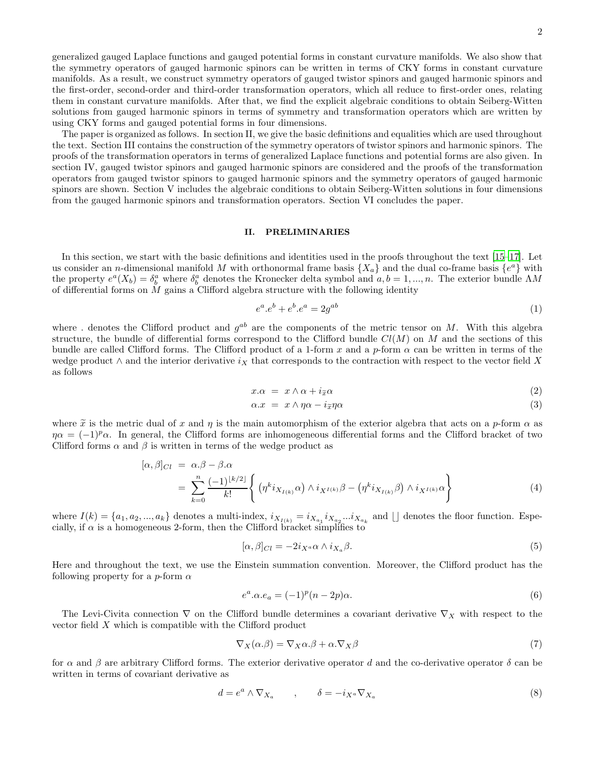generalized gauged Laplace functions and gauged potential forms in constant curvature manifolds. We also show that the symmetry operators of gauged harmonic spinors can be written in terms of CKY forms in constant curvature manifolds. As a result, we construct symmetry operators of gauged twistor spinors and gauged harmonic spinors and the first-order, second-order and third-order transformation operators, which all reduce to first-order ones, relating them in constant curvature manifolds. After that, we find the explicit algebraic conditions to obtain Seiberg-Witten solutions from gauged harmonic spinors in terms of symmetry and transformation operators which are written by using CKY forms and gauged potential forms in four dimensions.

The paper is organized as follows. In section II, we give the basic definitions and equalities which are used throughout the text. Section III contains the construction of the symmetry operators of twistor spinors and harmonic spinors. The proofs of the transformation operators in terms of generalized Laplace functions and potential forms are also given. In section IV, gauged twistor spinors and gauged harmonic spinors are considered and the proofs of the transformation operators from gauged twistor spinors to gauged harmonic spinors and the symmetry operators of gauged harmonic spinors are shown. Section V includes the algebraic conditions to obtain Seiberg-Witten solutions in four dimensions from the gauged harmonic spinors and transformation operators. Section VI concludes the paper.

### II. PRELIMINARIES

In this section, we start with the basic definitions and identities used in the proofs throughout the text [15–17]. Let us consider an *n*-dimensional manifold M with orthonormal frame basis  $\{X_a\}$  and the dual co-frame basis  $\{e^a\}$  with the property  $e^a(X_b) = \delta^a_b$  where  $\delta^a_b$  denotes the Kronecker delta symbol and  $a, b = 1, ..., n$ . The exterior bundle  $\Lambda M$ of differential forms on  $M$  gains a Clifford algebra structure with the following identity

$$
e^a \cdot e^b + e^b \cdot e^a = 2g^{ab} \tag{1}
$$

where . denotes the Clifford product and  $g^{ab}$  are the components of the metric tensor on M. With this algebra structure, the bundle of differential forms correspond to the Clifford bundle  $Cl(M)$  on M and the sections of this bundle are called Clifford forms. The Clifford product of a 1-form x and a p-form  $\alpha$  can be written in terms of the wedge product  $\wedge$  and the interior derivative  $i_X$  that corresponds to the contraction with respect to the vector field X as follows

$$
x.\alpha = x \wedge \alpha + i_{\widetilde{x}}\alpha \tag{2}
$$

$$
\alpha \cdot x = x \wedge \eta \alpha - i_{\widetilde{x}} \eta \alpha \tag{3}
$$

where  $\tilde{x}$  is the metric dual of x and  $\eta$  is the main automorphism of the exterior algebra that acts on a p-form  $\alpha$  as  $\eta\alpha = (-1)^p \alpha$ . In general, the Clifford forms are inhomogeneous differential forms and the Clifford bracket of two Clifford forms  $\alpha$  and  $\beta$  is written in terms of the wedge product as

$$
[\alpha, \beta]_{Cl} = \alpha.\beta - \beta.\alpha
$$
  
= 
$$
\sum_{k=0}^{n} \frac{(-1)^{\lfloor k/2 \rfloor}}{k!} \left\{ (\eta^{k} i_{X_{I(k)}} \alpha) \wedge i_{X^{I(k)}} \beta - (\eta^{k} i_{X_{I(k)}} \beta) \wedge i_{X^{I(k)}} \alpha \right\}
$$
 (4)

where  $I(k) = \{a_1, a_2, ..., a_k\}$  denotes a multi-index,  $i_{X_{I(k)}} = i_{X_{a_1}} i_{X_{a_2}} ... i_{X_{a_k}}$  and  $\lfloor \rfloor$  denotes the floor function. Especially, if  $\alpha$  is a homogeneous 2-form, then the Clifford bracket simplifies to

$$
[\alpha, \beta]_{Cl} = -2i_{X^a} \alpha \wedge i_{X_a} \beta. \tag{5}
$$

Here and throughout the text, we use the Einstein summation convention. Moreover, the Clifford product has the following property for a  $p$ -form  $\alpha$ 

$$
e^a \cdot \alpha \cdot e_a = (-1)^p (n-2p)\alpha. \tag{6}
$$

The Levi-Civita connection  $\nabla$  on the Clifford bundle determines a covariant derivative  $\nabla_X$  with respect to the vector field X which is compatible with the Clifford product

$$
\nabla_X(\alpha.\beta) = \nabla_X \alpha.\beta + \alpha.\nabla_X \beta \tag{7}
$$

for  $\alpha$  and  $\beta$  are arbitrary Clifford forms. The exterior derivative operator d and the co-derivative operator  $\delta$  can be written in terms of covariant derivative as

$$
d = e^a \wedge \nabla_{X_a} \qquad , \qquad \delta = -i_{X^a} \nabla_{X_a} \tag{8}
$$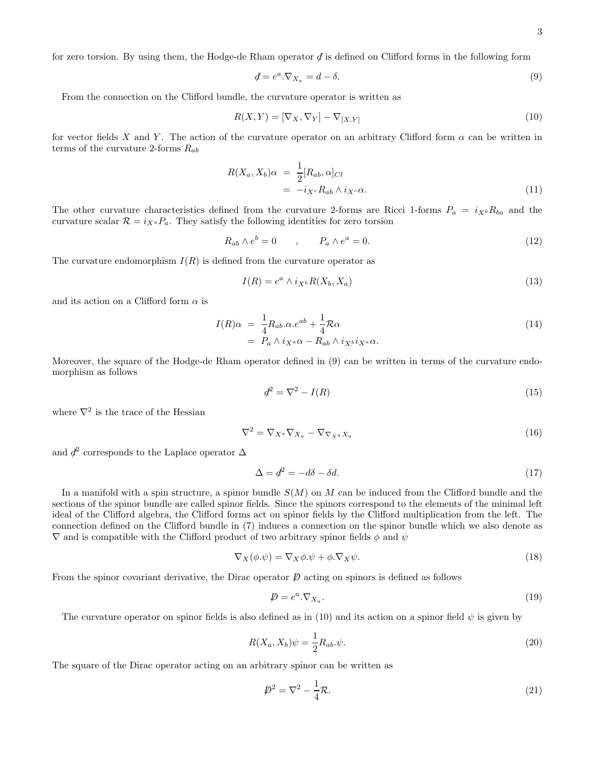for zero torsion. By using them, the Hodge-de Rham operator  $\phi$  is defined on Clifford forms in the following form

$$
\mathcal{J} = e^a \cdot \nabla_{X_a} = d - \delta. \tag{9}
$$

From the connection on the Clifford bundle, the curvature operator is written as

$$
R(X,Y) = [\nabla_X, \nabla_Y] - \nabla_{[X,Y]} \tag{10}
$$

for vector fields X and Y. The action of the curvature operator on an arbitrary Clifford form  $\alpha$  can be written in terms of the curvature 2-forms  $R_{ab}$ 

$$
R(X_a, X_b)\alpha = \frac{1}{2}[R_{ab}, \alpha]_{Cl}
$$
  
=  $-i_{X^c}R_{ab} \wedge i_{X^c}\alpha.$  (11)

The other curvature characteristics defined from the curvature 2-forms are Ricci 1-forms  $P_a = i_{X^b}R_{ba}$  and the curvature scalar  $\mathcal{R} = i_{X_a} P_a$ . They satisfy the following identities for zero torsion

$$
R_{ab} \wedge e^b = 0 \qquad , \qquad P_a \wedge e^a = 0. \tag{12}
$$

The curvature endomorphism  $I(R)$  is defined from the curvature operator as

$$
I(R) = e^a \wedge i_{X^b} R(X_b, X_a) \tag{13}
$$

and its action on a Clifford form  $\alpha$  is

$$
I(R)\alpha = \frac{1}{4}R_{ab}.\alpha.e^{ab} + \frac{1}{4}\mathcal{R}\alpha
$$
  
=  $P_a \wedge i_{X^a}\alpha - R_{ab} \wedge i_{X^b}i_{X^a}\alpha.$  (14)

Moreover, the square of the Hodge-de Rham operator defined in (9) can be written in terms of the curvature endomorphism as follows

$$
d^2 = \nabla^2 - I(R) \tag{15}
$$

where  $\nabla^2$  is the trace of the Hessian

$$
\nabla^2 = \nabla_{X^a} \nabla_{X_a} - \nabla_{\nabla_{X^a} X_a} \tag{16}
$$

and  $\phi^2$  corresponds to the Laplace operator  $\Delta$ 

$$
\Delta = d^2 = -d\delta - \delta d. \tag{17}
$$

In a manifold with a spin structure, a spinor bundle  $S(M)$  on M can be induced from the Clifford bundle and the sections of the spinor bundle are called spinor fields. Since the spinors correspond to the elements of the minimal left ideal of the Clifford algebra, the Clifford forms act on spinor fields by the Clifford multiplication from the left. The connection defined on the Clifford bundle in (7) induces a connection on the spinor bundle which we also denote as  $\nabla$  and is compatible with the Clifford product of two arbitrary spinor fields  $\phi$  and  $\psi$ 

$$
\nabla_X(\phi.\psi) = \nabla_X \phi.\psi + \phi.\nabla_X \psi.
$$
\n(18)

From the spinor covariant derivative, the Dirac operator  $\not{D}$  acting on spinors is defined as follows

$$
\mathcal{D} = e^a \cdot \nabla_{X_a}.\tag{19}
$$

The curvature operator on spinor fields is also defined as in (10) and its action on a spinor field  $\psi$  is given by

$$
R(X_a, X_b)\psi = \frac{1}{2}R_{ab}.\psi.
$$
\n<sup>(20)</sup>

The square of the Dirac operator acting on an arbitrary spinor can be written as

$$
\mathcal{D}^2 = \nabla^2 - \frac{1}{4}\mathcal{R}.\tag{21}
$$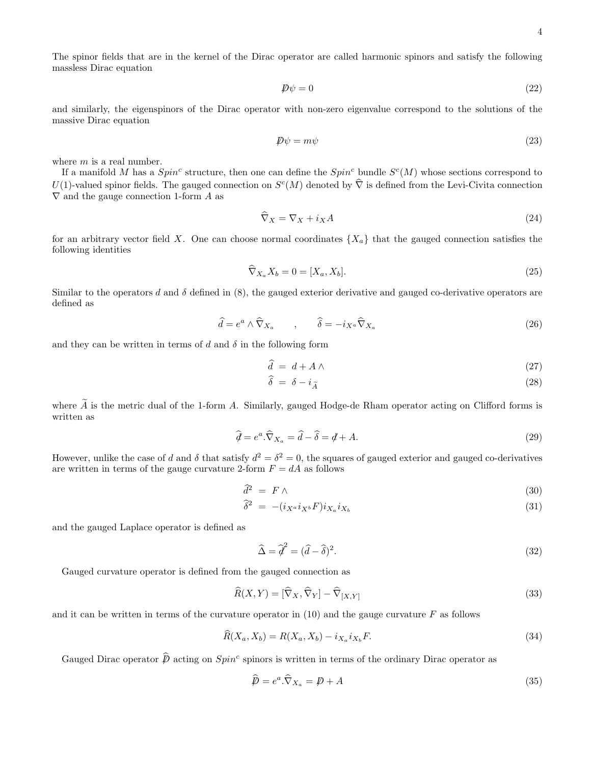The spinor fields that are in the kernel of the Dirac operator are called harmonic spinors and satisfy the following massless Dirac equation

$$
\not\!\!D\psi = 0\tag{22}
$$

and similarly, the eigenspinors of the Dirac operator with non-zero eigenvalue correspond to the solutions of the massive Dirac equation

$$
\mathcal{D}\psi = m\psi \tag{23}
$$

where  $m$  is a real number.

If a manifold M has a  $Spin^c$  structure, then one can define the  $Spin^c$  bundle  $S^c(M)$  whose sections correspond to  $U(1)$ -valued spinor fields. The gauged connection on  $S<sup>c</sup>(M)$  denoted by  $\widehat{\nabla}$  is defined from the Levi-Civita connection  $\nabla$  and the gauge connection 1-form A as

$$
\widehat{\nabla}_X = \nabla_X + i_X A \tag{24}
$$

for an arbitrary vector field X. One can choose normal coordinates  $\{X_a\}$  that the gauged connection satisfies the following identities

$$
\widehat{\nabla}_{X_a} X_b = 0 = [X_a, X_b]. \tag{25}
$$

Similar to the operators d and  $\delta$  defined in (8), the gauged exterior derivative and gauged co-derivative operators are defined as

$$
\widehat{d} = e^a \wedge \widehat{\nabla}_{X_a} \qquad , \qquad \widehat{\delta} = -i_{X^a} \widehat{\nabla}_{X_a} \tag{26}
$$

and they can be written in terms of d and  $\delta$  in the following form

$$
\widehat{d} = d + A \wedge \tag{27}
$$

$$
\hat{\delta} = \delta - i_{\widetilde{A}} \tag{28}
$$

where  $\hat{A}$  is the metric dual of the 1-form A. Similarly, gauged Hodge-de Rham operator acting on Clifford forms is written as

$$
\widehat{\mathcal{d}} = e^a \cdot \widehat{\nabla}_{X_a} = \widehat{d} - \widehat{\delta} = \mathcal{d} + A. \tag{29}
$$

However, unlike the case of d and  $\delta$  that satisfy  $d^2 = \delta^2 = 0$ , the squares of gauged exterior and gauged co-derivatives are written in terms of the gauge curvature 2-form  $F = dA$  as follows

$$
\hat{d}^2 = F \wedge \tag{30}
$$

$$
\widehat{\delta}^2 = -(i_{X^a} i_{X^b} F) i_{X_a} i_{X_b} \tag{31}
$$

and the gauged Laplace operator is defined as

$$
\widehat{\Delta} = \widehat{d}^2 = (\widehat{d} - \widehat{\delta})^2. \tag{32}
$$

Gauged curvature operator is defined from the gauged connection as

$$
\widehat{R}(X,Y) = [\widehat{\nabla}_X, \widehat{\nabla}_Y] - \widehat{\nabla}_{[X,Y]} \tag{33}
$$

and it can be written in terms of the curvature operator in  $(10)$  and the gauge curvature F as follows

$$
\widehat{R}(X_a, X_b) = R(X_a, X_b) - i_{X_a} i_{X_b} F. \tag{34}
$$

Gauged Dirac operator  $\hat{p}$  acting on  $Spin^c$  spinors is written in terms of the ordinary Dirac operator as

$$
\widehat{\mathcal{P}} = e^a \cdot \widehat{\nabla}_{X_a} = \mathcal{P} + A \tag{35}
$$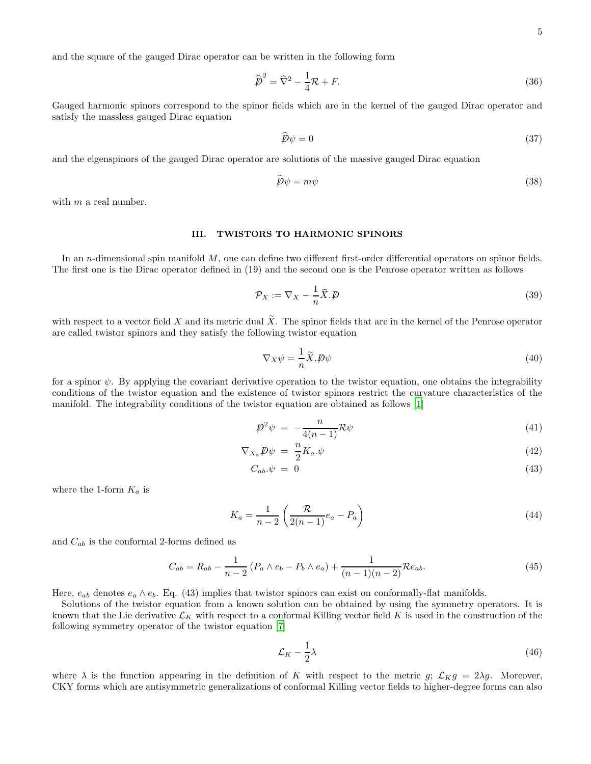and the square of the gauged Dirac operator can be written in the following form

$$
\widehat{\boldsymbol{p}}^2 = \widehat{\nabla}^2 - \frac{1}{4}\mathcal{R} + F. \tag{36}
$$

Gauged harmonic spinors correspond to the spinor fields which are in the kernel of the gauged Dirac operator and satisfy the massless gauged Dirac equation

$$
\widehat{\mathcal{P}}\psi = 0\tag{37}
$$

and the eigenspinors of the gauged Dirac operator are solutions of the massive gauged Dirac equation

$$
\widehat{\mathcal{P}}\psi = m\psi \tag{38}
$$

with  $m$  a real number.

# III. TWISTORS TO HARMONIC SPINORS

In an *n*-dimensional spin manifold M, one can define two different first-order differential operators on spinor fields. The first one is the Dirac operator defined in (19) and the second one is the Penrose operator written as follows

$$
\mathcal{P}_X := \nabla_X - \frac{1}{n}\widetilde{X}.\cancel{D} \tag{39}
$$

with respect to a vector field X and its metric dual  $\tilde{X}$ . The spinor fields that are in the kernel of the Penrose operator are called twistor spinors and they satisfy the following twistor equation

$$
\nabla_X \psi = -\frac{1}{n} \tilde{X} . \mathcal{D}\psi \tag{40}
$$

for a spinor  $\psi$ . By applying the covariant derivative operation to the twistor equation, one obtains the integrability conditions of the twistor equation and the existence of twistor spinors restrict the curvature characteristics of the manifold. The integrability conditions of the twistor equation are obtained as follows [1]

$$
\mathcal{D}^2 \psi = -\frac{n}{4(n-1)} \mathcal{R} \psi \tag{41}
$$

$$
\nabla_{X_a} \mathcal{P} \psi = \frac{n}{2} K_a \psi \tag{42}
$$

$$
C_{ab}.\psi = 0 \tag{43}
$$

where the 1-form  $K_a$  is

$$
K_a = \frac{1}{n-2} \left( \frac{\mathcal{R}}{2(n-1)} e_a - P_a \right) \tag{44}
$$

and  $C_{ab}$  is the conformal 2-forms defined as

$$
C_{ab} = R_{ab} - \frac{1}{n-2} (P_a \wedge e_b - P_b \wedge e_a) + \frac{1}{(n-1)(n-2)} \mathcal{R}e_{ab}.
$$
 (45)

Here,  $e_{ab}$  denotes  $e_a \wedge e_b$ . Eq. (43) implies that twistor spinors can exist on conformally-flat manifolds.

Solutions of the twistor equation from a known solution can be obtained by using the symmetry operators. It is known that the Lie derivative  $\mathcal{L}_K$  with respect to a conformal Killing vector field K is used in the construction of the following symmetry operator of the twistor equation [\[7](#page-15-1)]

$$
\mathcal{L}_K - \frac{1}{2}\lambda\tag{46}
$$

where  $\lambda$  is the function appearing in the definition of K with respect to the metric g;  $\mathcal{L}_K g = 2\lambda g$ . Moreover, CKY forms which are antisymmetric generalizations of conformal Killing vector fields to higher-degree forms can also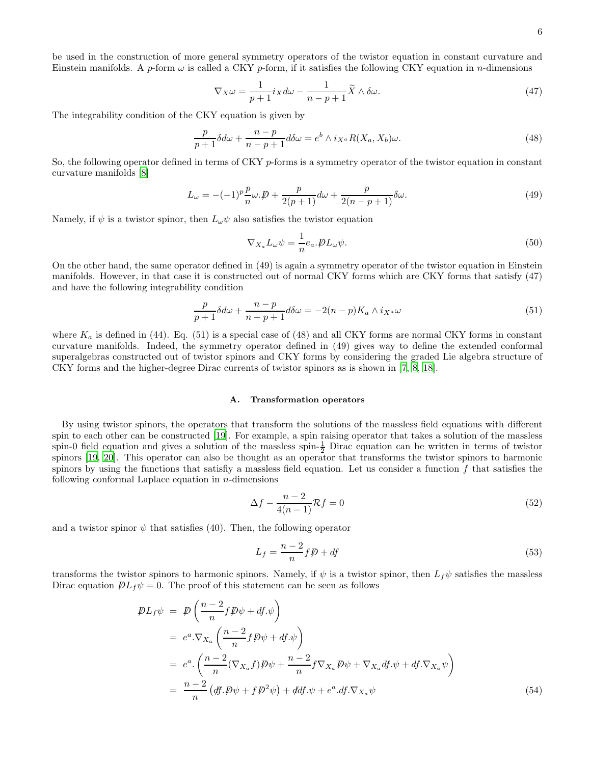be used in the construction of more general symmetry operators of the twistor equation in constant curvature and Einstein manifolds. A p-form  $\omega$  is called a CKY p-form, if it satisfies the following CKY equation in n-dimensions

$$
\nabla_X \omega = \frac{1}{p+1} i_X d\omega - \frac{1}{n-p+1} \widetilde{X} \wedge \delta \omega.
$$
\n(47)

The integrability condition of the CKY equation is given by

$$
\frac{p}{p+1}\delta d\omega + \frac{n-p}{n-p+1}d\delta \omega = e^b \wedge i_{X^a}R(X_a, X_b)\omega.
$$
\n(48)

So, the following operator defined in terms of CKY  $p$ -forms is a symmetry operator of the twistor equation in constant curvature manifolds [\[8\]](#page-15-0)

$$
L_{\omega} = -(-1)^p \frac{p}{n} \omega \cdot \mathcal{D} + \frac{p}{2(p+1)} d\omega + \frac{p}{2(n-p+1)} \delta \omega.
$$
\n(49)

Namely, if  $\psi$  is a twistor spinor, then  $L_{\omega}\psi$  also satisfies the twistor equation

$$
\nabla_{X_a} L_{\omega} \psi = \frac{1}{n} e_a . \not\!\! D L_{\omega} \psi. \tag{50}
$$

On the other hand, the same operator defined in (49) is again a symmetry operator of the twistor equation in Einstein manifolds. However, in that case it is constructed out of normal CKY forms which are CKY forms that satisfy (47) and have the following integrability condition

$$
\frac{p}{p+1}\delta d\omega + \frac{n-p}{n-p+1}d\delta \omega = -2(n-p)K_a \wedge i_{X^a}\omega \tag{51}
$$

where  $K_a$  is defined in (44). Eq. (51) is a special case of (48) and all CKY forms are normal CKY forms in constant curvature manifolds. Indeed, the symmetry operator defined in (49) gives way to define the extended conformal superalgebras constructed out of twistor spinors and CKY forms by considering the graded Lie algebra structure of CKY forms and the higher-degree Dirac currents of twistor spinors as is shown in [\[7,](#page-15-1) [8,](#page-15-0) [18\]](#page-16-1).

### A. Transformation operators

By using twistor spinors, the operators that transform the solutions of the massless field equations with different spin to each other can be constructed [19]. For example, a spin raising operator that takes a solution of the massless spin-0 field equation and gives a solution of the massless spin- $\frac{1}{2}$  Dirac equation can be written in terms of twistor spinors [19, 20]. This operator can also be thought as an operator that transforms the twistor spinors to harmonic spinors by using the functions that satisfiy a massless field equation. Let us consider a function  $f$  that satisfies the following conformal Laplace equation in  $n$ -dimensions

$$
\Delta f - \frac{n-2}{4(n-1)} \mathcal{R}f = 0 \tag{52}
$$

and a twistor spinor  $\psi$  that satisfies (40). Then, the following operator

$$
L_f = \frac{n-2}{n} f \not\!\!D + df \tag{53}
$$

transforms the twistor spinors to harmonic spinors. Namely, if  $\psi$  is a twistor spinor, then  $L_f\psi$  satisfies the massless Dirac equation  $\mathcal{D}L_f\psi = 0$ . The proof of this statement can be seen as follows

$$
\mathcal{P}L_f\psi = \mathcal{P}\left(\frac{n-2}{n}f\mathcal{P}\psi + df.\psi\right)
$$
  
\n
$$
= e^a \cdot \nabla_{X_a}\left(\frac{n-2}{n}f\mathcal{P}\psi + df.\psi\right)
$$
  
\n
$$
= e^a \cdot \left(\frac{n-2}{n}(\nabla_{X_a}f)\mathcal{P}\psi + \frac{n-2}{n}f\nabla_{X_a}\mathcal{P}\psi + \nabla_{X_a}df.\psi + df.\nabla_{X_a}\psi\right)
$$
  
\n
$$
= \frac{n-2}{n}\left(\frac{df}{\psi}\mathcal{P}\psi + f\mathcal{P}^2\psi\right) + \frac{df}{\psi}\psi + e^a \cdot df.\nabla_{X_a}\psi
$$
\n(54)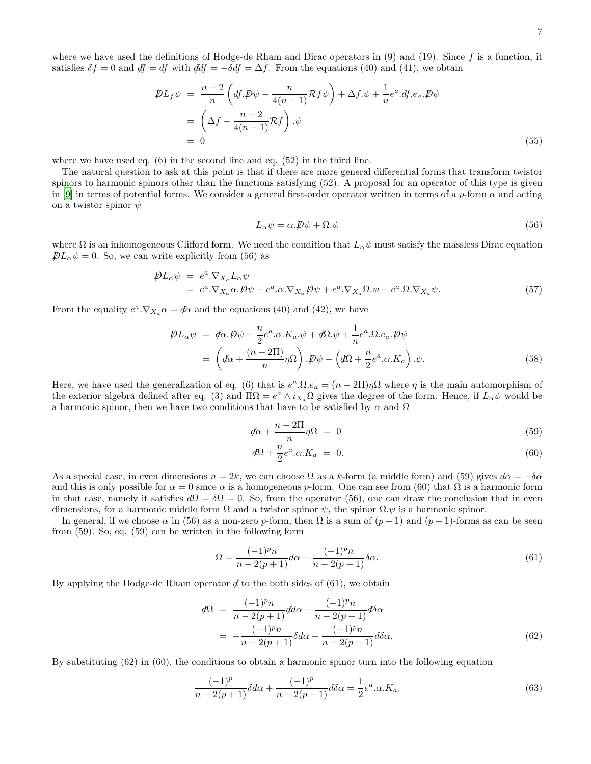where we have used the definitions of Hodge-de Rham and Dirac operators in  $(9)$  and  $(19)$ . Since f is a function, it satisfies  $\delta f = 0$  and  $df = df$  with  $ddf = -\delta df = \Delta f$ . From the equations (40) and (41), we obtain

$$
\mathcal{P}L_f\psi = \frac{n-2}{n} \left( df.\mathcal{P}\psi - \frac{n}{4(n-1)} \mathcal{R}f\psi \right) + \Delta f.\psi + \frac{1}{n} e^a .df.e_a . \mathcal{P}\psi
$$
  
=  $\left( \Delta f - \frac{n-2}{4(n-1)} \mathcal{R}f \right) . \psi$   
= 0 (55)

where we have used eq. (6) in the second line and eq. (52) in the third line.

The natural question to ask at this point is that if there are more general differential forms that transform twistor spinors to harmonic spinors other than the functions satisfying (52). A proposal for an operator of this type is given in [9] in terms of potential forms. We consider a general first-order operator written in terms of a p-form  $\alpha$  and acting on a twistor spinor  $\psi$ 

$$
L_{\alpha}\psi = \alpha \cdot \mathcal{P}\psi + \Omega \cdot \psi \tag{56}
$$

where  $\Omega$  is an inhomogeneous Clifford form. We need the condition that  $L_{\alpha}\psi$  must satisfy the massless Dirac equation  $\rlap{\,/}DL_{\alpha}\psi = 0$ . So, we can write explicitly from (56) as

$$
\mathcal{D}L_{\alpha}\psi = e^{a}.\nabla_{X_{a}}L_{\alpha}\psi
$$
\n
$$
= e^{a}.\nabla_{X_{a}}\alpha.\mathcal{D}\psi + e^{a}.\alpha.\nabla_{X_{a}}\mathcal{D}\psi + e^{a}.\nabla_{X_{a}}\Omega.\psi + e^{a}.\Omega.\nabla_{X_{a}}\psi.
$$
\n(57)

From the equality  $e^a \cdot \nabla_{X_a} \alpha = \phi \alpha$  and the equations (40) and (42), we have

$$
\mathcal{P}L_{\alpha}\psi = d\alpha \cdot \mathcal{P}\psi + \frac{n}{2}e^{a}.\alpha \cdot K_{a}.\psi + d\Omega \cdot \psi + \frac{1}{n}e^{a}.\Omega \cdot e_{a}.\mathcal{P}\psi
$$

$$
= \left(d\alpha + \frac{(n-2\Pi)}{n}\eta\Omega\right) \cdot \mathcal{P}\psi + \left(d\Omega + \frac{n}{2}e^{a}.\alpha \cdot K_{a}\right) \cdot \psi. \tag{58}
$$

Here, we have used the generalization of eq. (6) that is  $e^a \cdot \Omega \cdot e_a = (n - 2\Pi)\eta\Omega$  where  $\eta$  is the main automorphism of the exterior algebra defined after eq. (3) and  $\Pi\Omega = e^a \wedge i_{X_a}\Omega$  gives the degree of the form. Hence, if  $L_\alpha \psi$  would be a harmonic spinor, then we have two conditions that have to be satisfied by  $\alpha$  and  $\Omega$ 

$$
\mathcal{d}\alpha + \frac{n - 2\Pi}{n}\eta\Omega = 0\tag{59}
$$

$$
d\Omega + \frac{n}{2}e^a \cdot \alpha \cdot K_a = 0. \tag{60}
$$

As a special case, in even dimensions  $n = 2k$ , we can choose  $\Omega$  as a k-form (a middle form) and (59) gives  $d\alpha = -\delta \alpha$ and this is only possible for  $\alpha = 0$  since  $\alpha$  is a homogeneous p-form. One can see from (60) that  $\Omega$  is a harmonic form in that case, namely it satisfies  $d\Omega = \delta\Omega = 0$ . So, from the operator (56), one can draw the conclusion that in even dimensions, for a harmonic middle form  $\Omega$  and a twistor spinor  $\psi$ , the spinor  $\Omega.\psi$  is a harmonic spinor.

In general, if we choose  $\alpha$  in (56) as a non-zero p-form, then  $\Omega$  is a sum of  $(p+1)$  and  $(p-1)$ -forms as can be seen from (59). So, eq. (59) can be written in the following form

$$
\Omega = \frac{(-1)^p n}{n - 2(p+1)} d\alpha - \frac{(-1)^p n}{n - 2(p-1)} \delta \alpha.
$$
\n(61)

By applying the Hodge-de Rham operator  $\phi$  to the both sides of (61), we obtain

$$
\begin{split} d\Omega &= \frac{(-1)^p n}{n - 2(p+1)} d d\alpha - \frac{(-1)^p n}{n - 2(p-1)} d\delta \alpha \\ &= -\frac{(-1)^p n}{n - 2(p+1)} \delta d\alpha - \frac{(-1)^p n}{n - 2(p-1)} d\delta \alpha. \end{split} \tag{62}
$$

By substituting (62) in (60), the conditions to obtain a harmonic spinor turn into the following equation

$$
\frac{(-1)^p}{n-2(p+1)}\delta d\alpha + \frac{(-1)^p}{n-2(p-1)}d\delta \alpha = \frac{1}{2}e^a.\alpha.K_a.
$$
\n(63)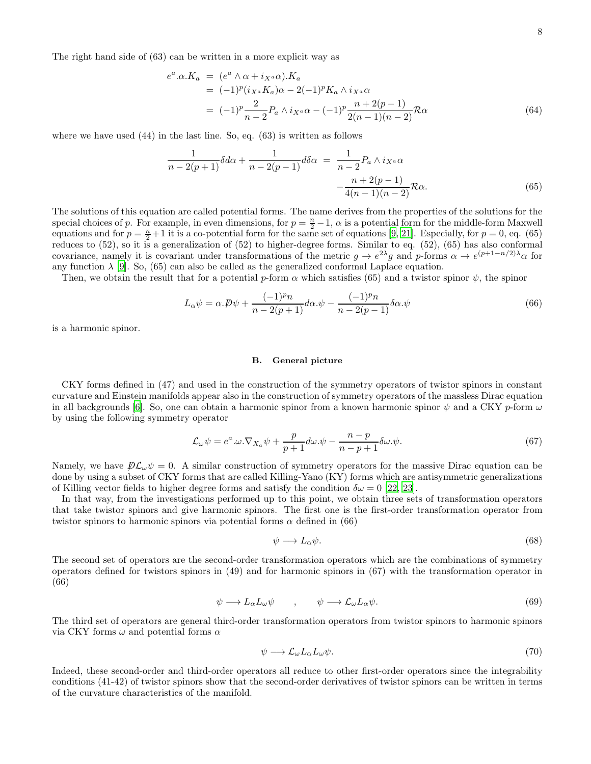The right hand side of (63) can be written in a more explicit way as

$$
e^{a}.\alpha.K_{a} = (e^{a} \wedge \alpha + i_{X^{a}}\alpha).K_{a}
$$
  
\n
$$
= (-1)^{p}(i_{X^{a}}K_{a})\alpha - 2(-1)^{p}K_{a} \wedge i_{X^{a}}\alpha
$$
  
\n
$$
= (-1)^{p} \frac{2}{n-2} P_{a} \wedge i_{X^{a}}\alpha - (-1)^{p} \frac{n+2(p-1)}{2(n-1)(n-2)} \mathcal{R}\alpha
$$
\n(64)

where we have used (44) in the last line. So, eq. (63) is written as follows

$$
\frac{1}{n-2(p+1)}\delta d\alpha + \frac{1}{n-2(p-1)}d\delta \alpha = \frac{1}{n-2}P_a \wedge i_{X^a} \alpha - \frac{n+2(p-1)}{4(n-1)(n-2)}\mathcal{R}\alpha.
$$
\n(65)

The solutions of this equation are called potential forms. The name derives from the properties of the solutions for the special choices of p. For example, in even dimensions, for  $p = \frac{n}{2} - 1$ ,  $\alpha$  is a potential form for the middle-form Maxwell equations and for  $p = \frac{n}{2} + 1$  it is a co-potential form for the same set of equations [9, 21]. Especially, for  $p = 0$ , eq. (65) reduces to (52), so it is a generalization of (52) to higher-degree forms. Similar to eq. (52), (65) has also conformal covariance, namely it is covariant under transformations of the metric  $g \to e^{2\lambda}g$  and p-forms  $\alpha \to e^{(p+1-n/2)\lambda} \alpha$  for any function  $\lambda$  [9]. So, (65) can also be called as the generalized conformal Laplace equation.

Then, we obtain the result that for a potential p-form  $\alpha$  which satisfies (65) and a twistor spinor  $\psi$ , the spinor

$$
L_{\alpha}\psi = \alpha \cdot \mathcal{P}\psi + \frac{(-1)^p n}{n - 2(p+1)}d\alpha \cdot \psi - \frac{(-1)^p n}{n - 2(p-1)}\delta\alpha \cdot \psi
$$
\n(66)

is a harmonic spinor.

### B. General picture

CKY forms defined in (47) and used in the construction of the symmetry operators of twistor spinors in constant curvature and Einstein manifolds appear also in the construction of symmetry operators of the massless Dirac equation in all backgrounds [6]. So, one can obtain a harmonic spinor from a known harmonic spinor  $\psi$  and a CKY p-form  $\omega$ by using the following symmetry operator

$$
\mathcal{L}_{\omega}\psi = e^a \cdot \omega \cdot \nabla_{X_a}\psi + \frac{p}{p+1}d\omega \cdot \psi - \frac{n-p}{n-p+1}\delta\omega \cdot \psi.
$$
\n(67)

Namely, we have  $\mathcal{D}\mathcal{L}_{\omega}\psi = 0$ . A similar construction of symmetry operators for the massive Dirac equation can be done by using a subset of CKY forms that are called Killing-Yano (KY) forms which are antisymmetric generalizations of Killing vector fields to higher degree forms and satisfy the condition  $\delta\omega = 0$  [22, 23].

In that way, from the investigations performed up to this point, we obtain three sets of transformation operators that take twistor spinors and give harmonic spinors. The first one is the first-order transformation operator from twistor spinors to harmonic spinors via potential forms  $\alpha$  defined in (66)

$$
\psi \longrightarrow L_{\alpha}\psi. \tag{68}
$$

The second set of operators are the second-order transformation operators which are the combinations of symmetry operators defined for twistors spinors in (49) and for harmonic spinors in (67) with the transformation operator in (66)

$$
\psi \longrightarrow L_{\alpha} L_{\omega} \psi \qquad , \qquad \psi \longrightarrow \mathcal{L}_{\omega} L_{\alpha} \psi. \tag{69}
$$

The third set of operators are general third-order transformation operators from twistor spinors to harmonic spinors via CKY forms  $\omega$  and potential forms  $\alpha$ 

$$
\psi \longrightarrow \mathcal{L}_{\omega} L_{\alpha} L_{\omega} \psi. \tag{70}
$$

Indeed, these second-order and third-order operators all reduce to other first-order operators since the integrability conditions (41-42) of twistor spinors show that the second-order derivatives of twistor spinors can be written in terms of the curvature characteristics of the manifold.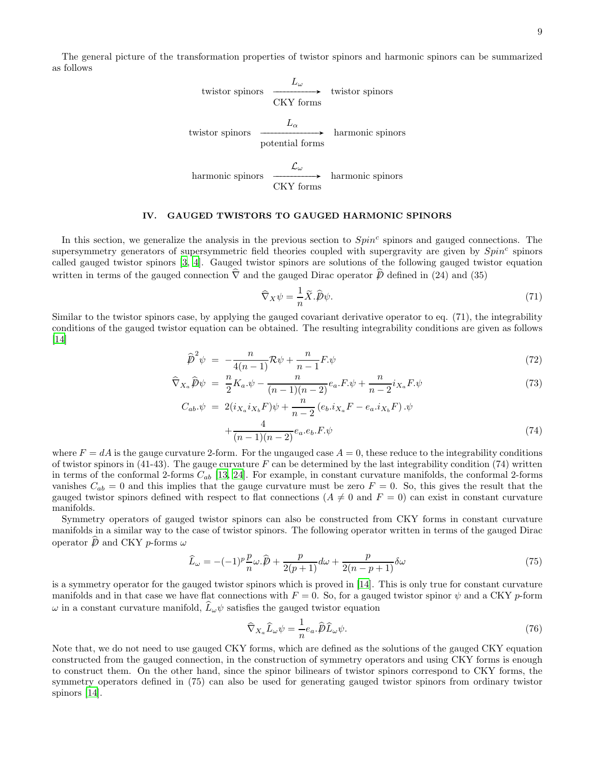The general picture of the transformation properties of twistor spinors and harmonic spinors can be summarized as follows

twistor spinors\n
$$
L_{\omega}
$$
\ntwistor spinors\n
$$
\xrightarrow{\text{CKY forms}}
$$
\ntwistor spinors\n
$$
L_{\alpha}
$$
\nharmonic spinors\n
$$
\xrightarrow{\text{L}_{\alpha}}
$$
\nharmonic spinors\nharmonic spinors\n
$$
\xrightarrow{\mathcal{L}_{\omega}}
$$
\nharmonic spinors

### IV. GAUGED TWISTORS TO GAUGED HARMONIC SPINORS

CKY forms

In this section, we generalize the analysis in the previous section to  $Spin<sup>c</sup>$  spinors and gauged connections. The supersymmetry generators of supersymmetric field theories coupled with supergravity are given by  $Spin<sup>c</sup>$  spinors called gauged twistor spinors [3, 4]. Gauged twistor spinors are solutions of the following gauged twistor equation written in terms of the gauged connection  $\hat{\nabla}$  and the gauged Dirac operator  $\hat{\psi}$  defined in (24) and (35)

$$
\widehat{\nabla}_X \psi = \frac{1}{n} \widetilde{X} . \widehat{\mathcal{P}} \psi. \tag{71}
$$

Similar to the twistor spinors case, by applying the gauged covariant derivative operator to eq. (71), the integrability conditions of the gauged twistor equation can be obtained. The resulting integrability conditions are given as follows [\[14\]](#page-16-0)

$$
\widehat{\boldsymbol{p}}^2 \psi = -\frac{n}{4(n-1)} \mathcal{R} \psi + \frac{n}{n-1} \boldsymbol{F} \psi \tag{72}
$$

$$
\widehat{\nabla}_{X_a}\widehat{p}\psi = \frac{n}{2}K_a.\psi - \frac{n}{(n-1)(n-2)}e_a.F.\psi + \frac{n}{n-2}i_{X_a}F.\psi \tag{73}
$$

$$
C_{ab}.\psi = 2(i_{X_a}i_{X_b}F)\psi + \frac{n}{n-2}(e_b.i_{X_a}F - e_a.i_{X_b}F).\psi
$$

$$
+\frac{4}{(n-1)(n-2)}e_a.e_b.F.\psi
$$
(74)

where  $F = dA$  is the gauge curvature 2-form. For the ungauged case  $A = 0$ , these reduce to the integrability conditions of twistor spinors in  $(41-43)$ . The gauge curvature F can be determined by the last integrability condition (74) written in terms of the conformal 2-forms  $C_{ab}$  [13, 24]. For example, in constant curvature manifolds, the conformal 2-forms vanishes  $C_{ab} = 0$  and this implies that the gauge curvature must be zero  $F = 0$ . So, this gives the result that the gauged twistor spinors defined with respect to flat connections ( $A \neq 0$  and  $F = 0$ ) can exist in constant curvature manifolds.

Symmetry operators of gauged twistor spinors can also be constructed from CKY forms in constant curvature manifolds in a similar way to the case of twistor spinors. The following operator written in terms of the gauged Dirac operator  $\hat{D}$  and CKY p-forms  $\omega$ 

$$
\widehat{L}_{\omega} = -(-1)^p \frac{p}{n} \omega \cdot \widehat{p} + \frac{p}{2(p+1)} d\omega + \frac{p}{2(n-p+1)} \delta \omega \tag{75}
$$

is a symmetry operator for the gauged twistor spinors which is proved in [\[14\]](#page-16-0). This is only true for constant curvature manifolds and in that case we have flat connections with  $F = 0$ . So, for a gauged twistor spinor  $\psi$  and a CKY p-form  $\omega$  in a constant curvature manifold,  $\hat{L}_{\omega}\psi$  satisfies the gauged twistor equation

$$
\widehat{\nabla}_{X_a}\widehat{L}_{\omega}\psi = \frac{1}{n}e_a.\widehat{\mathcal{D}}\widehat{L}_{\omega}\psi.
$$
\n(76)

Note that, we do not need to use gauged CKY forms, which are defined as the solutions of the gauged CKY equation constructed from the gauged connection, in the construction of symmetry operators and using CKY forms is enough to construct them. On the other hand, since the spinor bilinears of twistor spinors correspond to CKY forms, the symmetry operators defined in (75) can also be used for generating gauged twistor spinors from ordinary twistor spinors [\[14\]](#page-16-0).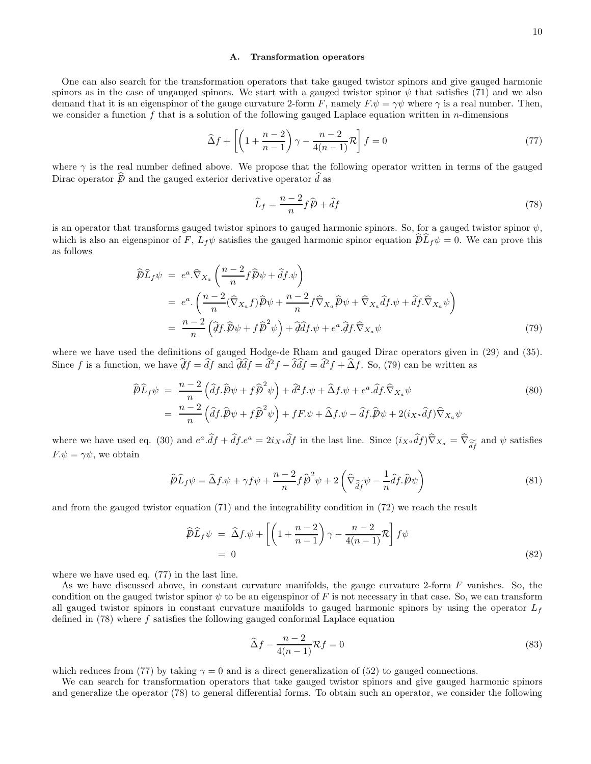### A. Transformation operators

One can also search for the transformation operators that take gauged twistor spinors and give gauged harmonic spinors as in the case of ungauged spinors. We start with a gauged twistor spinor  $\psi$  that satisfies (71) and we also demand that it is an eigenspinor of the gauge curvature 2-form F, namely  $F \cdot \psi = \gamma \psi$  where  $\gamma$  is a real number. Then, we consider a function f that is a solution of the following gauged Laplace equation written in  $n$ -dimensions

$$
\widehat{\Delta}f + \left[ \left( 1 + \frac{n-2}{n-1} \right) \gamma - \frac{n-2}{4(n-1)} \mathcal{R} \right] f = 0 \tag{77}
$$

where  $\gamma$  is the real number defined above. We propose that the following operator written in terms of the gauged Dirac operator  $\hat{D}$  and the gauged exterior derivative operator  $\hat{d}$  as

$$
\widehat{L}_f = \frac{n-2}{n} f \widehat{p} + \widehat{d}f \tag{78}
$$

is an operator that transforms gauged twistor spinors to gauged harmonic spinors. So, for a gauged twistor spinor  $\psi$ , which is also an eigenspinor of F,  $L_f \psi$  satisfies the gauged harmonic spinor equation  $\hat{\mathcal{D}}L_f \psi = 0$ . We can prove this as follows

$$
\widehat{\mathcal{P}}\widehat{L}_f\psi = e^a \cdot \widehat{\nabla}_{X_a} \left( \frac{n-2}{n} f \widehat{\mathcal{P}} \psi + \widehat{d} f \psi \right)
$$
\n
$$
= e^a \cdot \left( \frac{n-2}{n} (\widehat{\nabla}_{X_a} f) \widehat{\mathcal{P}} \psi + \frac{n-2}{n} f \widehat{\nabla}_{X_a} \widehat{\mathcal{P}} \psi + \widehat{\nabla}_{X_a} \widehat{d} f \psi + \widehat{d} f \cdot \widehat{\nabla}_{X_a} \psi \right)
$$
\n
$$
= \frac{n-2}{n} \left( \widehat{d} f \cdot \widehat{\mathcal{P}} \psi + f \widehat{\mathcal{P}}^2 \psi \right) + \widehat{d} \widehat{d} f \cdot \psi + e^a \cdot \widehat{d} f \cdot \widehat{\nabla}_{X_a} \psi \tag{79}
$$

where we have used the definitions of gauged Hodge-de Rham and gauged Dirac operators given in (29) and (35). Since f is a function, we have  $\hat{\mathcal{J}}f = \hat{d}f$  and  $\hat{\mathcal{J}}\hat{d}f = \hat{d}^2f - \hat{\delta}\hat{d}f = \hat{d}^2f + \hat{\Delta}f$ . So, (79) can be written as

$$
\widehat{\mathcal{P}}\widehat{L}_f\psi = \frac{n-2}{n}\left(\widehat{df}.\widehat{\mathcal{P}}\psi + f\widehat{\mathcal{P}}^2\psi\right) + \widehat{d}^2f.\psi + \widehat{\Delta}f.\psi + e^a.\widehat{df}.\widehat{\nabla}_{X_a}\psi
$$
\n
$$
= \frac{n-2}{n}\left(\widehat{df}.\widehat{\mathcal{P}}\psi + f\widehat{\mathcal{P}}^2\psi\right) + fF.\psi + \widehat{\Delta}f.\psi - \widehat{df}.\widehat{\mathcal{P}}\psi + 2(i_{X^a}\widehat{df})\widehat{\nabla}_{X_a}\psi
$$
\n(80)

where we have used eq. (30) and  $e^a \cdot df + df \cdot e^a = 2i_{X^a} df$  in the last line. Since  $(i_{X^a} df) \nabla_{X_a} = \nabla_{\widetilde{df}}$  and  $\psi$  satisfies  $F.\psi = \gamma \psi$ , we obtain

$$
\widehat{\mathcal{P}}\widehat{L}_f\psi = \widehat{\Delta}f.\psi + \gamma f\psi + \frac{n-2}{n}f\widehat{\mathcal{P}}^2\psi + 2\left(\widehat{\nabla}_{\widehat{\partial}f}\psi - \frac{1}{n}\widehat{d}f.\widehat{\mathcal{P}}\psi\right)
$$
\n(81)

and from the gauged twistor equation (71) and the integrability condition in (72) we reach the result

$$
\widehat{\mathcal{D}}\widehat{L}_f\psi = \widehat{\Delta}f.\psi + \left[ \left( 1 + \frac{n-2}{n-1} \right) \gamma - \frac{n-2}{4(n-1)} \mathcal{R} \right] f\psi
$$
  
= 0 (82)

where we have used eq. (77) in the last line.

As we have discussed above, in constant curvature manifolds, the gauge curvature 2-form F vanishes. So, the condition on the gauged twistor spinor  $\psi$  to be an eigenspinor of F is not necessary in that case. So, we can transform all gauged twistor spinors in constant curvature manifolds to gauged harmonic spinors by using the operator  $L_f$ defined in  $(78)$  where f satisfies the following gauged conformal Laplace equation

$$
\widehat{\Delta}f - \frac{n-2}{4(n-1)}\mathcal{R}f = 0\tag{83}
$$

which reduces from (77) by taking  $\gamma = 0$  and is a direct generalization of (52) to gauged connections.

We can search for transformation operators that take gauged twistor spinors and give gauged harmonic spinors and generalize the operator (78) to general differential forms. To obtain such an operator, we consider the following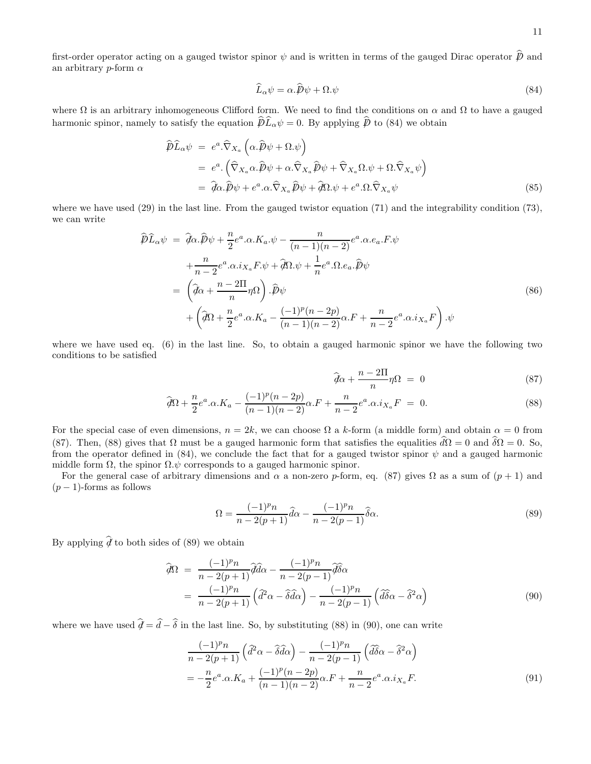first-order operator acting on a gauged twistor spinor  $\psi$  and is written in terms of the gauged Dirac operator  $\vec{p}$  and an arbitrary p-form  $\alpha$ 

$$
\widehat{L}_{\alpha}\psi = \alpha.\widehat{\mathcal{P}}\psi + \Omega.\psi \tag{84}
$$

where  $\Omega$  is an arbitrary inhomogeneous Clifford form. We need to find the conditions on  $\alpha$  and  $\Omega$  to have a gauged harmonic spinor, namely to satisfy the equation  $\widehat{\mathcal{D}}\widehat{L}_{\alpha}\psi = 0$ . By applying  $\widehat{\mathcal{D}}$  to (84) we obtain

$$
\hat{\mathcal{D}}\hat{L}_{\alpha}\psi = e^{a}\cdot\hat{\nabla}_{X_{a}}\left(\alpha.\hat{\mathcal{D}}\psi + \Omega.\psi\right)
$$
\n
$$
= e^{a}\cdot\left(\hat{\nabla}_{X_{a}}\alpha.\hat{\mathcal{D}}\psi + \alpha.\hat{\nabla}_{X_{a}}\hat{\mathcal{D}}\psi + \hat{\nabla}_{X_{a}}\Omega.\psi + \Omega.\hat{\nabla}_{X_{a}}\psi\right)
$$
\n
$$
= \hat{d}\alpha.\hat{\mathcal{D}}\psi + e^{a}.\alpha.\hat{\nabla}_{X_{a}}\hat{\mathcal{D}}\psi + \hat{d}\Omega.\psi + e^{a}.\Omega.\hat{\nabla}_{X_{a}}\psi
$$
\n(85)

where we have used (29) in the last line. From the gauged twistor equation (71) and the integrability condition (73), we can write

$$
\widehat{\mathcal{P}}\widehat{L}_{\alpha}\psi = \widehat{q}\alpha.\widehat{\mathcal{P}}\psi + \frac{n}{2}e^{a}.\alpha.K_{a}.\psi - \frac{n}{(n-1)(n-2)}e^{a}.\alpha.e_{a}.F.\psi \n+ \frac{n}{n-2}e^{a}.\alpha.i_{X_{a}}F.\psi + \widehat{q}\Omega.\psi + \frac{1}{n}e^{a}.\Omega.e_{a}.\widehat{\mathcal{P}}\psi \n= \left(\widehat{q}\alpha + \frac{n-2\Pi}{n}\eta\Omega\right).\widehat{\mathcal{P}}\psi \n+ \left(\widehat{q}\Omega + \frac{n}{2}e^{a}.\alpha.K_{a} - \frac{(-1)^{p}(n-2p)}{(n-1)(n-2)}\alpha.F + \frac{n}{n-2}e^{a}.\alpha.i_{X_{a}}F\right).\psi
$$
\n(86)

where we have used eq. (6) in the last line. So, to obtain a gauged harmonic spinor we have the following two conditions to be satisfied

$$
\hat{\mathcal{d}}\alpha + \frac{n - 2\Pi}{n}\eta\Omega = 0 \tag{87}
$$

$$
\widehat{d}\Omega + \frac{n}{2}e^a \cdot \alpha \cdot K_a - \frac{(-1)^p (n-2p)}{(n-1)(n-2)} \alpha \cdot F + \frac{n}{n-2} e^a \cdot \alpha \cdot i_{X_a} F = 0. \tag{88}
$$

For the special case of even dimensions,  $n = 2k$ , we can choose  $\Omega$  a k-form (a middle form) and obtain  $\alpha = 0$  from (87). Then, (88) gives that  $\Omega$  must be a gauged harmonic form that satisfies the equalities  $d\Omega = 0$  and  $\delta\Omega = 0$ . So, from the operator defined in (84), we conclude the fact that for a gauged twistor spinor  $\psi$  and a gauged harmonic middle form  $\Omega$ , the spinor  $\Omega \psi$  corresponds to a gauged harmonic spinor.

For the general case of arbitrary dimensions and  $\alpha$  a non-zero p-form, eq. (87) gives  $\Omega$  as a sum of  $(p+1)$  and  $(p-1)$ -forms as follows

$$
\Omega = \frac{(-1)^p n}{n - 2(p+1)} \hat{d}\alpha - \frac{(-1)^p n}{n - 2(p-1)} \hat{\delta}\alpha.
$$
\n(89)

By applying  $\hat{d}$  to both sides of (89) we obtain

$$
\widehat{\mathcal{d}}\Omega = \frac{(-1)^p n}{n - 2(p+1)} \widehat{\mathcal{d}}\widehat{d}\alpha - \frac{(-1)^p n}{n - 2(p-1)} \widehat{\mathcal{d}}\widehat{\delta}\alpha \n= \frac{(-1)^p n}{n - 2(p+1)} \left( \widehat{d}^2 \alpha - \widehat{\delta} \widehat{d}\alpha \right) - \frac{(-1)^p n}{n - 2(p-1)} \left( \widehat{d}\widehat{\delta}\alpha - \widehat{\delta}^2 \alpha \right)
$$
\n(90)

where we have used  $\hat{\mathcal{d}} = \hat{d} - \hat{\delta}$  in the last line. So, by substituting (88) in (90), one can write

$$
\frac{(-1)^p n}{n - 2(p+1)} \left( \frac{\partial^2 \alpha - \widehat{\delta d \alpha}}{\partial \alpha} \right) - \frac{(-1)^p n}{n - 2(p-1)} \left( \frac{\partial^2 \delta \alpha - \widehat{\delta^2 \alpha}}{\partial \alpha \partial \alpha} \right)
$$

$$
= -\frac{n}{2} e^a \cdot \alpha \cdot K_a + \frac{(-1)^p (n-2p)}{(n-1)(n-2)} \alpha \cdot F + \frac{n}{n-2} e^a \cdot \alpha \cdot i_{X_a} F. \tag{91}
$$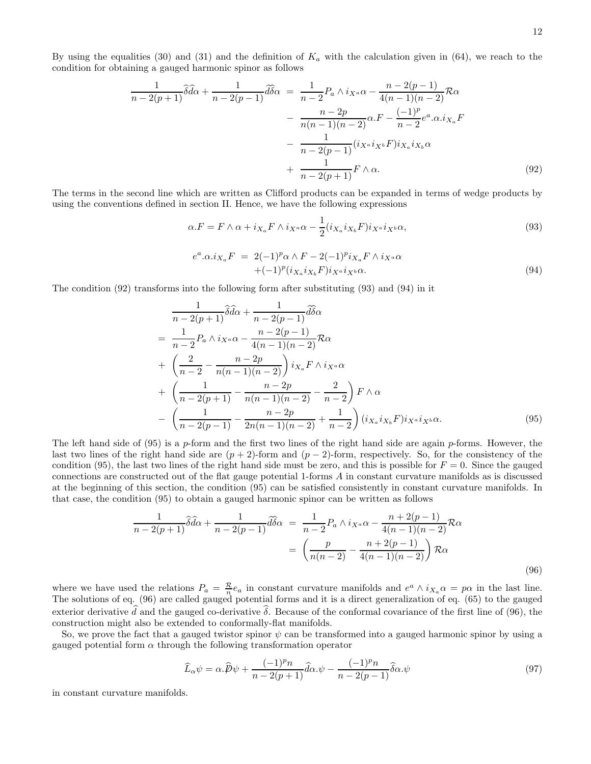By using the equalities (30) and (31) and the definition of  $K_a$  with the calculation given in (64), we reach to the condition for obtaining a gauged harmonic spinor as follows

$$
\frac{1}{n-2(p+1)}\widehat{\delta d\alpha} + \frac{1}{n-2(p-1)}\widehat{d\delta\alpha} = \frac{1}{n-2}P_a \wedge i_{X^a}\alpha - \frac{n-2(p-1)}{4(n-1)(n-2)}\mathcal{R}\alpha
$$

$$
- \frac{n-2p}{n(n-1)(n-2)}\alpha \cdot F - \frac{(-1)^p}{n-2}e^a \cdot \alpha \cdot i_{X_a}F
$$

$$
- \frac{1}{n-2(p-1)}(i_{X^a}i_{X^b}F)i_{X_a}i_{X_b}\alpha
$$

$$
+ \frac{1}{n-2(p+1)}F \wedge \alpha.
$$
(92)

The terms in the second line which are written as Clifford products can be expanded in terms of wedge products by using the conventions defined in section II. Hence, we have the following expressions

$$
\alpha.F = F \wedge \alpha + i_{X_a} F \wedge i_{X^a} \alpha - \frac{1}{2} (i_{X_a} i_{X_b} F) i_{X^a} i_{X^b} \alpha,
$$
\n(93)

$$
e^{a}.\alpha.i_{X_a}F = 2(-1)^p \alpha \wedge F - 2(-1)^p i_{X_a}F \wedge i_{X^a} \alpha
$$
  
 
$$
+(-1)^p (i_{X_a}i_{X_b}F) i_{X^a}i_{X^b} \alpha.
$$
 (94)

The condition (92) transforms into the following form after substituting (93) and (94) in it

$$
\frac{1}{n-2(p+1)}\hat{\delta d\alpha} + \frac{1}{n-2(p-1)}\hat{d\delta\alpha}
$$
\n
$$
= \frac{1}{n-2}P_a \wedge i_{X^a}\alpha - \frac{n-2(p-1)}{4(n-1)(n-2)}R\alpha
$$
\n
$$
+ \left(\frac{2}{n-2} - \frac{n-2p}{n(n-1)(n-2)}\right)i_{X_a}F \wedge i_{X^a}\alpha
$$
\n
$$
+ \left(\frac{1}{n-2(p+1)} - \frac{n-2p}{n(n-1)(n-2)} - \frac{2}{n-2}\right)F \wedge \alpha
$$
\n
$$
- \left(\frac{1}{n-2(p-1)} - \frac{n-2p}{2n(n-1)(n-2)} + \frac{1}{n-2}\right)(i_{X_a}i_{X_b}F)i_{X^a}i_{X^b}\alpha. \tag{95}
$$

The left hand side of  $(95)$  is a p-form and the first two lines of the right hand side are again p-forms. However, the last two lines of the right hand side are  $(p + 2)$ -form and  $(p - 2)$ -form, respectively. So, for the consistency of the condition (95), the last two lines of the right hand side must be zero, and this is possible for  $F = 0$ . Since the gauged connections are constructed out of the flat gauge potential 1-forms A in constant curvature manifolds as is discussed at the beginning of this section, the condition (95) can be satisfied consistently in constant curvature manifolds. In that case, the condition (95) to obtain a gauged harmonic spinor can be written as follows

$$
\frac{1}{n-2(p+1)}\widehat{\delta d\alpha} + \frac{1}{n-2(p-1)}\widehat{d\delta\alpha} = \frac{1}{n-2}P_a \wedge i_{X^a}\alpha - \frac{n+2(p-1)}{4(n-1)(n-2)}\mathcal{R}\alpha
$$

$$
= \left(\frac{p}{n(n-2)} - \frac{n+2(p-1)}{4(n-1)(n-2)}\right)\mathcal{R}\alpha
$$
\n(96)

where we have used the relations  $P_a = \frac{\mathcal{R}}{n} e_a$  in constant curvature manifolds and  $e^a \wedge i_{X_a} \alpha = p\alpha$  in the last line. The solutions of eq. (96) are called gauged potential forms and it is a direct generalization of eq. (65) to the gauged exterior derivative d and the gauged co-derivative  $\delta$ . Because of the conformal covariance of the first line of (96), the construction might also be extended to conformally-flat manifolds.

So, we prove the fact that a gauged twistor spinor  $\psi$  can be transformed into a gauged harmonic spinor by using a gauged potential form  $\alpha$  through the following transformation operator

$$
\widehat{L}_{\alpha}\psi = \alpha.\widehat{p}\psi + \frac{(-1)^p n}{n - 2(p+1)}\widehat{d}\alpha.\psi - \frac{(-1)^p n}{n - 2(p-1)}\widehat{\delta}\alpha.\psi
$$
\n(97)

in constant curvature manifolds.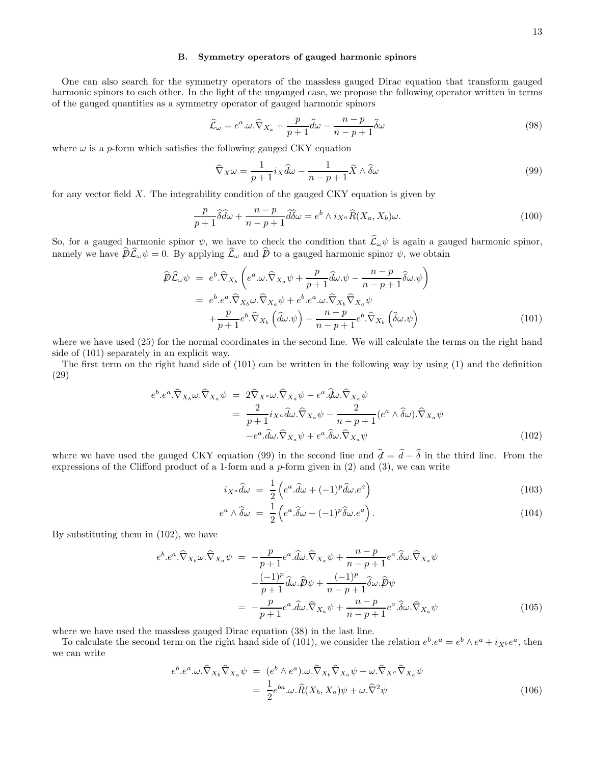# B. Symmetry operators of gauged harmonic spinors

One can also search for the symmetry operators of the massless gauged Dirac equation that transform gauged harmonic spinors to each other. In the light of the ungauged case, we propose the following operator written in terms of the gauged quantities as a symmetry operator of gauged harmonic spinors

$$
\widehat{\mathcal{L}}_{\omega} = e^a \cdot \omega \cdot \widehat{\nabla}_{X_a} + \frac{p}{p+1} \widehat{d\omega} - \frac{n-p}{n-p+1} \widehat{\delta\omega} \tag{98}
$$

where  $\omega$  is a p-form which satisfies the following gauged CKY equation

$$
\widehat{\nabla}_X \omega = \frac{1}{p+1} i_X \widehat{d}\omega - \frac{1}{n-p+1} \widetilde{X} \wedge \widehat{\delta}\omega \tag{99}
$$

for any vector field  $X$ . The integrability condition of the gauged CKY equation is given by

$$
\frac{p}{p+1}\hat{\delta}\hat{d}\omega + \frac{n-p}{n-p+1}\hat{d}\hat{\delta}\omega = e^b \wedge i_{X^a}\hat{R}(X_a, X_b)\omega.
$$
\n(100)

So, for a gauged harmonic spinor  $\psi$ , we have to check the condition that  $\mathcal{L}_{\omega}\psi$  is again a gauged harmonic spinor, namely we have  $\not\!\!D\mathcal{L}_{\omega}\psi = 0$ . By applying  $\mathcal{L}_{\omega}$  and  $\not\!\!D$  to a gauged harmonic spinor  $\psi$ , we obtain

$$
\widehat{\mathcal{P}}\widehat{\mathcal{L}}_{\omega}\psi = e^{b} \cdot \widehat{\nabla}_{X_{b}} \left( e^{a} \cdot \omega \cdot \widehat{\nabla}_{X_{a}} \psi + \frac{p}{p+1} \widehat{d}\omega \cdot \psi - \frac{n-p}{n-p+1} \widehat{\delta}\omega \cdot \psi \right) \n= e^{b} \cdot e^{a} \cdot \widehat{\nabla}_{X_{b}} \omega \cdot \widehat{\nabla}_{X_{a}} \psi + e^{b} \cdot e^{a} \cdot \omega \cdot \widehat{\nabla}_{X_{b}} \widehat{\nabla}_{X_{a}} \psi \n+ \frac{p}{p+1} e^{b} \cdot \widehat{\nabla}_{X_{b}} \left( \widehat{d}\omega \cdot \psi \right) - \frac{n-p}{n-p+1} e^{b} \cdot \widehat{\nabla}_{X_{b}} \left( \widehat{\delta}\omega \cdot \psi \right)
$$
\n(101)

where we have used (25) for the normal coordinates in the second line. We will calculate the terms on the right hand side of (101) separately in an explicit way.

The first term on the right hand side of (101) can be written in the following way by using (1) and the definition (29)

$$
e^{b} \cdot e^{a} \cdot \widehat{\nabla}_{X_b} \omega \cdot \widehat{\nabla}_{X_a} \psi = 2 \widehat{\nabla}_{X^a} \omega \cdot \widehat{\nabla}_{X_a} \psi - e^{a} \cdot \widehat{d} \omega \cdot \widehat{\nabla}_{X_a} \psi
$$
  

$$
= \frac{2}{p+1} i_{X^a} \widehat{d} \omega \cdot \widehat{\nabla}_{X_a} \psi - \frac{2}{n-p+1} (e^a \wedge \widehat{\delta} \omega) \cdot \widehat{\nabla}_{X_a} \psi
$$
  

$$
-e^{a} \cdot \widehat{d} \omega \cdot \widehat{\nabla}_{X_a} \psi + e^{a} \cdot \widehat{\delta} \omega \cdot \widehat{\nabla}_{X_a} \psi
$$
 (102)

where we have used the gauged CKY equation (99) in the second line and  $\hat{d} = \hat{d} - \hat{\delta}$  in the third line. From the expressions of the Clifford product of a 1-form and a p-form given in (2) and (3), we can write

$$
i_{X^a}\hat{d}\omega = \frac{1}{2}\left(e^a.\hat{d}\omega + (-1)^p\hat{d}\omega.e^a\right)
$$
\n(103)

$$
e^{a} \wedge \widehat{\delta}\omega = \frac{1}{2} \left( e^{a} \cdot \widehat{\delta}\omega - (-1)^{p} \widehat{\delta}\omega e^{a} \right).
$$
 (104)

By substituting them in (102), we have

$$
e^{b} \cdot e^{a} \cdot \widehat{\nabla}_{X_b} \omega \cdot \widehat{\nabla}_{X_a} \psi = -\frac{p}{p+1} e^{a} \cdot \widehat{d} \omega \cdot \widehat{\nabla}_{X_a} \psi + \frac{n-p}{n-p+1} e^{a} \cdot \widehat{\delta} \omega \cdot \widehat{\nabla}_{X_a} \psi + \frac{(-1)^p}{p+1} \widehat{d} \omega \cdot \widehat{p} \psi + \frac{(-1)^p}{n-p+1} \widehat{\delta} \omega \cdot \widehat{p} \psi = -\frac{p}{p+1} e^{a} \cdot \widehat{d} \omega \cdot \widehat{\nabla}_{X_a} \psi + \frac{n-p}{n-p+1} e^{a} \cdot \widehat{\delta} \omega \cdot \widehat{\nabla}_{X_a} \psi
$$
(105)

where we have used the massless gauged Dirac equation (38) in the last line.

To calculate the second term on the right hand side of (101), we consider the relation  $e^b \cdot e^a = e^b \wedge e^a + i_{X^b} e^a$ , then we can write

$$
e^{b} \cdot e^{a} \cdot \omega \cdot \widehat{\nabla}_{X_b} \widehat{\nabla}_{X_a} \psi = (e^{b} \wedge e^{a}) \cdot \omega \cdot \widehat{\nabla}_{X_b} \widehat{\nabla}_{X_a} \psi + \omega \cdot \widehat{\nabla}_{X^a} \widehat{\nabla}_{X_a} \psi
$$
  
= 
$$
\frac{1}{2} e^{ba} \cdot \omega \cdot \widehat{R}(X_b, X_a) \psi + \omega \cdot \widehat{\nabla}^2 \psi
$$
 (106)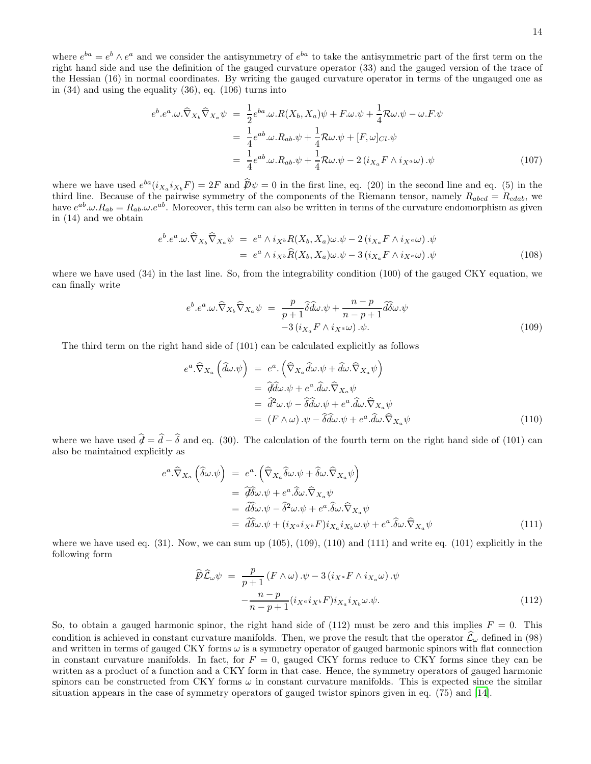where  $e^{ba} = e^b \wedge e^a$  and we consider the antisymmetry of  $e^{ba}$  to take the antisymmetric part of the first term on the right hand side and use the definition of the gauged curvature operator (33) and the gauged version of the trace of the Hessian (16) in normal coordinates. By writing the gauged curvature operator in terms of the ungauged one as in (34) and using the equality (36), eq. (106) turns into

$$
e^{b} \cdot e^{a} \cdot \omega \cdot \widehat{\nabla}_{X_{b}} \widehat{\nabla}_{X_{a}} \psi = \frac{1}{2} e^{ba} \cdot \omega \cdot R(X_{b}, X_{a}) \psi + F \cdot \omega \cdot \psi + \frac{1}{4} \mathcal{R} \omega \cdot \psi - \omega \cdot F \cdot \psi
$$
  

$$
= \frac{1}{4} e^{ab} \cdot \omega \cdot R_{ab} \cdot \psi + \frac{1}{4} \mathcal{R} \omega \cdot \psi + [F, \omega]_{Cl} \cdot \psi
$$
  

$$
= \frac{1}{4} e^{ab} \cdot \omega \cdot R_{ab} \cdot \psi + \frac{1}{4} \mathcal{R} \omega \cdot \psi - 2 \left( i_{X_{a}} F \wedge i_{X^{a}} \omega \right) \cdot \psi
$$
(107)

where we have used  $e^{ba}(i_{X_a}i_{X_b}F) = 2F$  and  $\hat{\mathcal{D}}\psi = 0$  in the first line, eq. (20) in the second line and eq. (5) in the third line. Because of the pairwise symmetry of the components of the Riemann tensor, namely  $R_{abcd} = R_{cdab}$ , we have  $e^{ab}.\omega.R_{ab} = R_{ab}.\omega.e^{ab}$ . Moreover, this term can also be written in terms of the curvature endomorphism as given in (14) and we obtain

$$
e^{b} \cdot e^{a} \cdot \omega \cdot \widehat{\nabla}_{X_b} \widehat{\nabla}_{X_a} \psi = e^{a} \wedge i_{X^b} R(X_b, X_a) \omega \cdot \psi - 2 (i_{X_a} F \wedge i_{X^a} \omega) \cdot \psi
$$
  
= 
$$
e^{a} \wedge i_{X^b} \widehat{R}(X_b, X_a) \omega \cdot \psi - 3 (i_{X_a} F \wedge i_{X^a} \omega) \cdot \psi
$$
 (108)

where we have used (34) in the last line. So, from the integrability condition (100) of the gauged CKY equation, we can finally write

$$
e^{b} \cdot e^{a} \cdot \omega \cdot \widehat{\nabla}_{X_b} \widehat{\nabla}_{X_a} \psi = \frac{p}{p+1} \widehat{\delta d} \omega \cdot \psi + \frac{n-p}{n-p+1} \widehat{d} \widehat{\delta \omega} \cdot \psi - 3 \left( i_{X_a} F \wedge i_{X^a} \omega \right) \cdot \psi. \tag{109}
$$

The third term on the right hand side of (101) can be calculated explicitly as follows

$$
e^{a}\cdot\widehat{\nabla}_{X_{a}}\left(\widehat{d}\omega.\psi\right) = e^{a}\cdot\left(\widehat{\nabla}_{X_{a}}\widehat{d}\omega.\psi + \widehat{d}\omega.\widehat{\nabla}_{X_{a}}\psi\right)
$$
  
\n
$$
= \widehat{d}\widehat{d}\omega.\psi + e^{a}\cdot\widehat{d}\omega.\widehat{\nabla}_{X_{a}}\psi
$$
  
\n
$$
= \widehat{d}^{2}\omega.\psi - \widehat{\delta}\widehat{d}\omega.\psi + e^{a}\cdot\widehat{d}\omega.\widehat{\nabla}_{X_{a}}\psi
$$
  
\n
$$
= (F \wedge \omega).\psi - \widehat{\delta}\widehat{d}\omega.\psi + e^{a}\cdot\widehat{d}\omega.\widehat{\nabla}_{X_{a}}\psi
$$
\n(110)

where we have used  $\hat{\mathcal{d}} = \hat{d} - \hat{\delta}$  and eq. (30). The calculation of the fourth term on the right hand side of (101) can also be maintained explicitly as

$$
e^{a}\cdot\widehat{\nabla}_{X_{a}}\left(\widehat{\delta}\omega.\psi\right) = e^{a}\cdot\left(\widehat{\nabla}_{X_{a}}\widehat{\delta}\omega.\psi + \widehat{\delta}\omega.\widehat{\nabla}_{X_{a}}\psi\right)
$$
  
\n
$$
= \widetilde{\mathcal{U}}\delta\omega.\psi + e^{a}\cdot\widehat{\delta}\omega.\widehat{\nabla}_{X_{a}}\psi
$$
  
\n
$$
= \widetilde{\mathcal{U}}\delta\omega.\psi - \widehat{\delta}^{2}\omega.\psi + e^{a}\cdot\widehat{\delta}\omega.\widehat{\nabla}_{X_{a}}\psi
$$
  
\n
$$
= \widetilde{\mathcal{U}}\delta\omega.\psi + (i_{X^{a}}i_{X^{b}}F)i_{X_{a}}i_{X_{b}}\omega.\psi + e^{a}\cdot\widehat{\delta}\omega.\widehat{\nabla}_{X_{a}}\psi
$$
\n(111)

where we have used eq.  $(31)$ . Now, we can sum up  $(105)$ ,  $(109)$ ,  $(110)$  and  $(111)$  and write eq.  $(101)$  explicitly in the following form

$$
\widehat{\mathcal{P}}\widehat{\mathcal{L}}_{\omega}\psi = \frac{p}{p+1}(F \wedge \omega) \cdot \psi - 3(i_{X^a}F \wedge i_{X_a}\omega) \cdot \psi \n- \frac{n-p}{n-p+1}(i_{X^a}i_{X^b}F)i_{X_a}i_{X_b}\omega \cdot \psi.
$$
\n(112)

So, to obtain a gauged harmonic spinor, the right hand side of  $(112)$  must be zero and this implies  $F = 0$ . This condition is achieved in constant curvature manifolds. Then, we prove the result that the operator  $\hat{\mathcal{L}}_{\omega}$  defined in (98) and written in terms of gauged CKY forms  $\omega$  is a symmetry operator of gauged harmonic spinors with flat connection in constant curvature manifolds. In fact, for  $F = 0$ , gauged CKY forms reduce to CKY forms since they can be written as a product of a function and a CKY form in that case. Hence, the symmetry operators of gauged harmonic spinors can be constructed from CKY forms  $\omega$  in constant curvature manifolds. This is expected since the similar situation appears in the case of symmetry operators of gauged twistor spinors given in eq. (75) and [\[14\]](#page-16-0).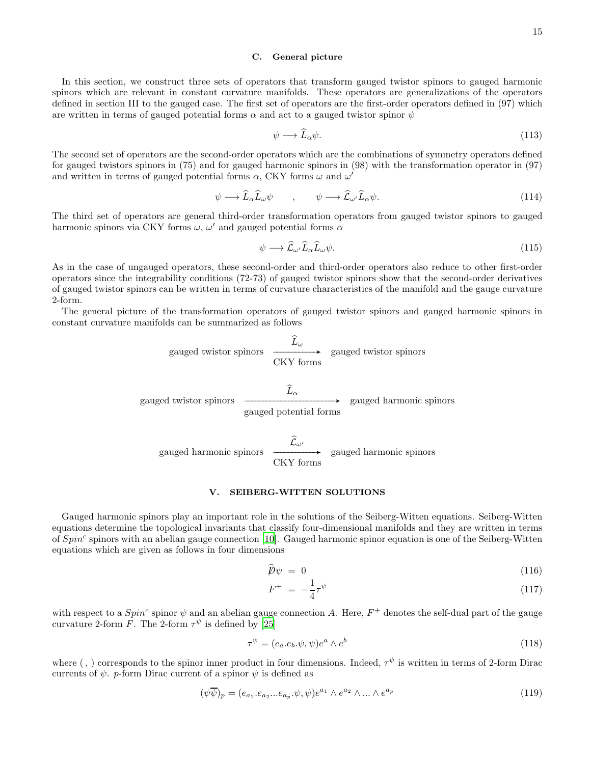### C. General picture

In this section, we construct three sets of operators that transform gauged twistor spinors to gauged harmonic spinors which are relevant in constant curvature manifolds. These operators are generalizations of the operators defined in section III to the gauged case. The first set of operators are the first-order operators defined in (97) which are written in terms of gauged potential forms  $\alpha$  and act to a gauged twistor spinor  $\psi$ 

$$
\psi \longrightarrow \tilde{L}_{\alpha}\psi. \tag{113}
$$

The second set of operators are the second-order operators which are the combinations of symmetry operators defined for gauged twistors spinors in (75) and for gauged harmonic spinors in (98) with the transformation operator in (97) and written in terms of gauged potential forms  $\alpha$ , CKY forms  $\omega$  and  $\omega'$ 

$$
\psi \longrightarrow \widehat{L}_{\alpha}\widehat{L}_{\omega}\psi \qquad , \qquad \psi \longrightarrow \widehat{\mathcal{L}}_{\omega'}\widehat{L}_{\alpha}\psi. \tag{114}
$$

The third set of operators are general third-order transformation operators from gauged twistor spinors to gauged harmonic spinors via CKY forms  $\omega$ ,  $\omega'$  and gauged potential forms  $\alpha$ 

$$
\psi \longrightarrow \widehat{\mathcal{L}}_{\omega'} \widehat{L}_{\alpha} \widehat{L}_{\omega} \psi. \tag{115}
$$

As in the case of ungauged operators, these second-order and third-order operators also reduce to other first-order operators since the integrability conditions (72-73) of gauged twistor spinors show that the second-order derivatives of gauged twistor spinors can be written in terms of curvature characteristics of the manifold and the gauge curvature 2-form.

The general picture of the transformation operators of gauged twistor spinors and gauged harmonic spinors in constant curvature manifolds can be summarized as follows

$$
gauge d twistor spinors \xrightarrow{\widehat{L}_{\omega}} gauge d twistor spinors
$$

$$
\xrightarrow{\hat{L}_{\alpha}} \qquad \qquad \xrightarrow{\hat{L}_{\alpha}} \qquad \qquad \xrightarrow{\hat{L}_{\alpha}} \qquad \qquad \text{gauged harmonic spinors}
$$

gauged harmonic spinors  $\widehat{\mathcal{L}}_{\omega'}$  $\frac{1-\omega}{\omega}$ CKY forms gauged harmonic spinors

### V. SEIBERG-WITTEN SOLUTIONS

Gauged harmonic spinors play an important role in the solutions of the Seiberg-Witten equations. Seiberg-Witten equations determine the topological invariants that classify four-dimensional manifolds and they are written in terms of  $Spin<sup>c</sup>$  spinors with an abelian gauge connection [10]. Gauged harmonic spinor equation is one of the Seiberg-Witten equations which are given as follows in four dimensions

$$
\widehat{\not\!\!D}\psi = 0 \tag{116}
$$

$$
F^{+} = -\frac{1}{4}\tau^{\psi} \tag{117}
$$

with respect to a  $Spin^c$  spinor  $\psi$  and an abelian gauge connection A. Here,  $F^+$  denotes the self-dual part of the gauge curvature 2-form F. The 2-form  $\tau^{\psi}$  is defined by [\[25\]](#page-16-2)

$$
\tau^{\psi} = (e_a \cdot e_b \cdot \psi, \psi)e^a \wedge e^b \tag{118}
$$

where  $($ ,  $)$  corresponds to the spinor inner product in four dimensions. Indeed,  $\tau^{\psi}$  is written in terms of 2-form Dirac currents of  $\psi$ . p-form Dirac current of a spinor  $\psi$  is defined as

$$
(\psi \overline{\psi})_p = (e_{a_1} \cdot e_{a_2} \cdot \cdot \cdot e_{a_p} \cdot \psi, \psi) e^{a_1} \wedge e^{a_2} \wedge \dots \wedge e^{a_p} \tag{119}
$$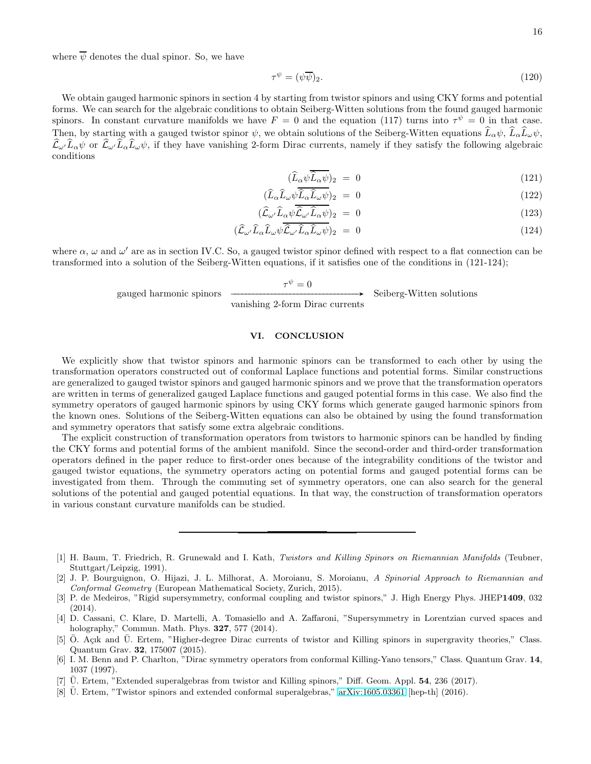where  $\overline{\psi}$  denotes the dual spinor. So, we have

$$
\tau^{\psi} = (\psi \overline{\psi})_2. \tag{120}
$$

We obtain gauged harmonic spinors in section 4 by starting from twistor spinors and using CKY forms and potential forms. We can search for the algebraic conditions to obtain Seiberg-Witten solutions from the found gauged harmonic spinors. In constant curvature manifolds we have  $F = 0$  and the equation (117) turns into  $\tau^{\psi} = 0$  in that case. Then, by starting with a gauged twistor spinor  $\psi$ , we obtain solutions of the Seiberg-Witten equations  $\widehat{L}_{\alpha}\psi$ ,  $\widehat{L}_{\alpha}\widehat{L}_{\omega}\psi$ ,  $\hat{\mathcal{L}}_{\omega'}\hat{L}_{\alpha}\psi$  or  $\hat{\mathcal{L}}_{\omega'}\hat{L}_{\alpha}\hat{L}_{\omega}\psi$ , if they have vanishing 2-form Dirac currents, namely if they satisfy the following algebraic conditions

$$
(\widehat{L}_{\alpha}\psi \overline{\widehat{L}_{\alpha}\psi})_2 = 0 \tag{121}
$$

$$
(\hat{L}_{\alpha}\hat{L}_{\omega}\psi\hat{L}_{\alpha}\hat{L}_{\omega}\psi)_{2} = 0 \tag{122}
$$

$$
(\hat{\mathcal{L}}_{\omega'}\hat{L}_{\alpha}\psi\hat{\mathcal{L}}_{\omega'}\hat{L}_{\alpha}\psi)_2 = 0 \tag{123}
$$

$$
(\hat{\mathcal{L}}_{\omega'}\hat{L}_{\alpha}\hat{L}_{\omega}\psi\hat{\mathcal{L}}_{\omega'}\hat{L}_{\alpha}\hat{L}_{\omega}\psi)_2 = 0 \tag{124}
$$

where  $\alpha$ ,  $\omega$  and  $\omega'$  are as in section IV.C. So, a gauged twistor spinor defined with respect to a flat connection can be transformed into a solution of the Seiberg-Witten equations, if it satisfies one of the conditions in (121-124);

gauged harmonic spinors

 $\tau^{\psi}=0$ GGGGGGGGGGGGGGGGGGGGGGGGGGGGGGGGGGA

vanishing 2-form Dirac currents Seiberg-Witten solutions

# VI. CONCLUSION

We explicitly show that twistor spinors and harmonic spinors can be transformed to each other by using the transformation operators constructed out of conformal Laplace functions and potential forms. Similar constructions are generalized to gauged twistor spinors and gauged harmonic spinors and we prove that the transformation operators are written in terms of generalized gauged Laplace functions and gauged potential forms in this case. We also find the symmetry operators of gauged harmonic spinors by using CKY forms which generate gauged harmonic spinors from the known ones. Solutions of the Seiberg-Witten equations can also be obtained by using the found transformation and symmetry operators that satisfy some extra algebraic conditions.

The explicit construction of transformation operators from twistors to harmonic spinors can be handled by finding the CKY forms and potential forms of the ambient manifold. Since the second-order and third-order transformation operators defined in the paper reduce to first-order ones because of the integrability conditions of the twistor and gauged twistor equations, the symmetry operators acting on potential forms and gauged potential forms can be investigated from them. Through the commuting set of symmetry operators, one can also search for the general solutions of the potential and gauged potential equations. In that way, the construction of transformation operators in various constant curvature manifolds can be studied.

- [4] D. Cassani, C. Klare, D. Martelli, A. Tomasiello and A. Zaffaroni, "Supersymmetry in Lorentzian curved spaces and holography," Commun. Math. Phys. 327, 577 (2014).
- [5] Ö. Açık and Ü. Ertem, "Higher-degree Dirac currents of twistor and Killing spinors in supergravity theories," Class. Quantum Grav. 32, 175007 (2015).
- [6] I. M. Benn and P. Charlton, "Dirac symmetry operators from conformal Killing-Yano tensors," Class. Quantum Grav. 14, 1037 (1997).
- <span id="page-15-1"></span> $[7]$  U. Ertem, "Extended superalgebras from twistor and Killing spinors," Diff. Geom. Appl. **54**, 236 (2017).
- <span id="page-15-0"></span>[8] U. Ertem, "Twistor spinors and extended conformal superalgebras," [arXiv:1605.03361](http://arxiv.org/abs/1605.03361) [hep-th] (2016).

<sup>[1]</sup> H. Baum, T. Friedrich, R. Grunewald and I. Kath, Twistors and Killing Spinors on Riemannian Manifolds (Teubner, Stuttgart/Leipzig, 1991).

<sup>[2]</sup> J. P. Bourguignon, O. Hijazi, J. L. Milhorat, A. Moroianu, S. Moroianu, A Spinorial Approach to Riemannian and Conformal Geometry (European Mathematical Society, Zurich, 2015).

<sup>[3]</sup> P. de Medeiros, "Rigid supersymmetry, conformal coupling and twistor spinors," J. High Energy Phys. JHEP1409, 032 (2014).